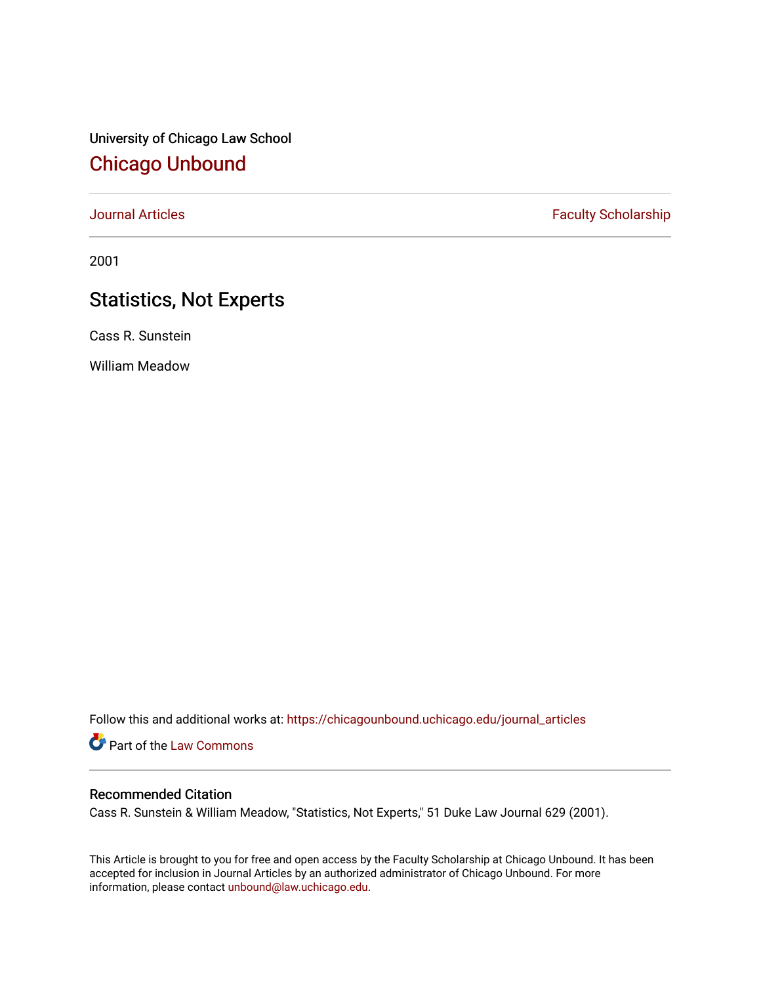University of Chicago Law School [Chicago Unbound](https://chicagounbound.uchicago.edu/)

[Journal Articles](https://chicagounbound.uchicago.edu/journal_articles) **Faculty Scholarship Faculty Scholarship** 

2001

# Statistics, Not Experts

Cass R. Sunstein

William Meadow

Follow this and additional works at: [https://chicagounbound.uchicago.edu/journal\\_articles](https://chicagounbound.uchicago.edu/journal_articles?utm_source=chicagounbound.uchicago.edu%2Fjournal_articles%2F8562&utm_medium=PDF&utm_campaign=PDFCoverPages) 

Part of the [Law Commons](http://network.bepress.com/hgg/discipline/578?utm_source=chicagounbound.uchicago.edu%2Fjournal_articles%2F8562&utm_medium=PDF&utm_campaign=PDFCoverPages)

## Recommended Citation

Cass R. Sunstein & William Meadow, "Statistics, Not Experts," 51 Duke Law Journal 629 (2001).

This Article is brought to you for free and open access by the Faculty Scholarship at Chicago Unbound. It has been accepted for inclusion in Journal Articles by an authorized administrator of Chicago Unbound. For more information, please contact [unbound@law.uchicago.edu](mailto:unbound@law.uchicago.edu).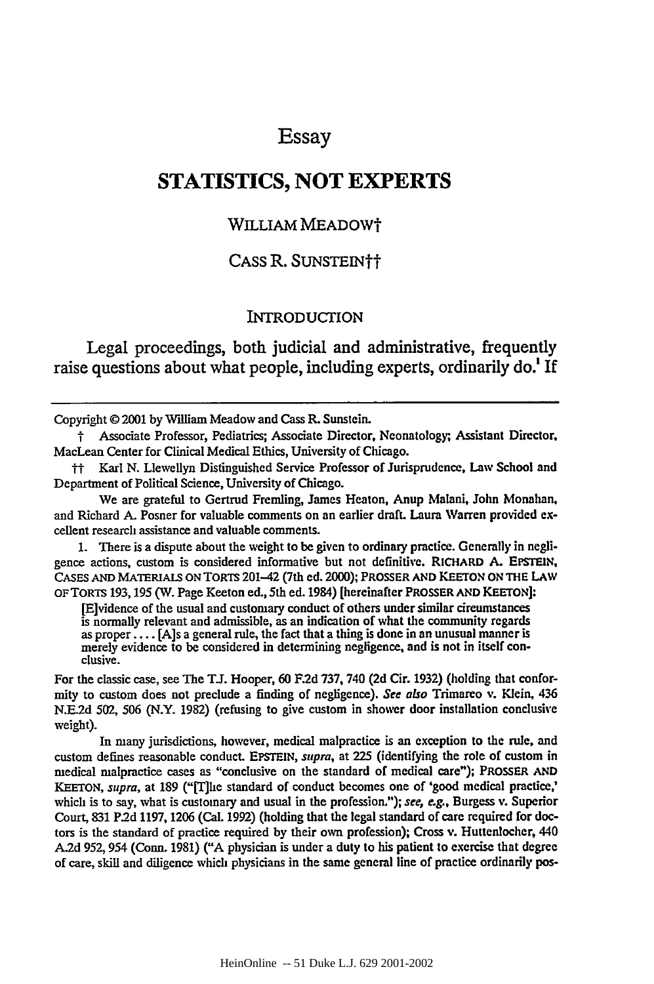## Essay

## **STATISTICS, NOT** EXPERTS

#### WILLIAM MEADOWt

#### CASS R. SUNSTEINTT

#### INTRODUCTION

Legal proceedings, both judicial and administrative, frequently raise questions about what people, including experts, ordinarily do.' If

Copyright © 2001 **by** William Meadow and Cass R. Sunstein.

We are grateful to Gertrud Fremling, James Heaton, Anup Malani, John Monahan. and Richard A. Posner for valuable comments on an earlier draft. Laura Warren provided excellent research assistance and valuable comments.

1. There is a dispute about the weight to be given to ordinary practice. Generally in negligence actions, custom is considered informative but not definitive. **RICHARD A. EPSTEIN, CASES AND MATERIALS** ON TORTS 201-42 (7th ed. 2000); PROSSER **AND KEETON** ON **THE** LAW OFTORTS **193,195** (W. Page Keeton ed., 5th ed. 1984) [hereinafter PROSSER AND KEETON]:

[E]vidence of the usual and customary conduct of others under similar circumstances is normally relevant and admissible, as an indication of what the community regards as proper.... [A]s a general rule, the fact that a thing is done in an unusual manner is merely evidence to be considered in determining negligence, and is not in itself con clusive.

For the classic case, see The **TJ.** Hooper, 60 F.2d 737,740 **(2d** Cir. **1932)** (holding that conformity to custom does not preclude a finding of negligence). *See also* Trimarco **v.** Klein, 436 N.E.2d 502, 506 (N.Y. 1982) (refusing to give custom in shower door installation conclusive weight).

In many jurisdictions, however, medical malpractice is an exception to the rule, and custom defines reasonable conduct EPSTEIN, *supra,* at 225 (identifying the role of custom in medical malpractice cases as "conclusive on the standard of medical care"); PROSSER AND KEETON, *supra,* at 189 ('T]he standard of conduct becomes one of 'good medical practice,' which is to say, what is customary and usual in the profession."); *see eg.,* Burgess v. Superior Court, 831 P2d 1197, 1206 (Cal. 1992) (holding that the legal standard of care required for doctors is the standard of practice required by their own profession); Cross v. Huttenlocher, 440 A.2d 952, 954 (Conn. **1981) ("A** physician is under a duty to his patient to exercise that degree of care, skill and diligence which physicians in the same general line of practice ordinarily pos-

Associate Professor, Pediatrics; Associate Director, Neonatology; Assistant Director, MacLean Center for Clinical Medical Ethics, University of Chicago.

Karl N. Llewellyn Distinguished Service Professor of Jurisprudence, Law School and Department of Political Science, University of Chicago.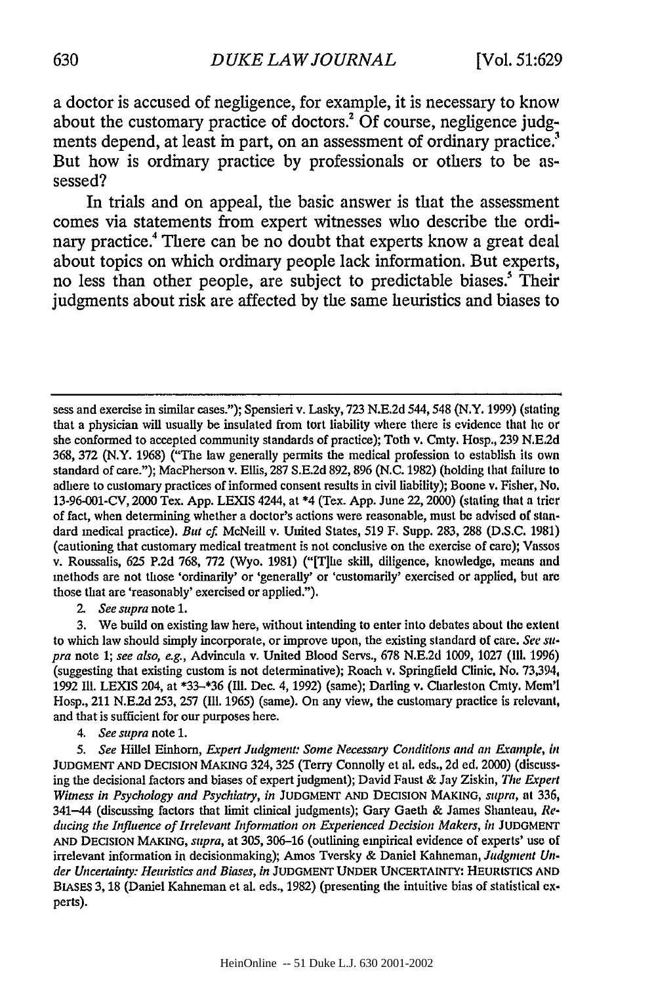a doctor is accused of negligence, for example, it is necessary to know about the customary practice of doctors.<sup>2</sup> Of course, negligence judgments depend, at least in part, on an assessment of ordinary practice.<sup>3</sup> But how is ordinary practice by professionals or others to be assessed?

In trials and on appeal, the basic answer is that the assessment comes via statements from expert witnesses who describe the ordinary practice.<sup>4</sup> There can be no doubt that experts know a great deal about topics on which ordinary people lack information. But experts, no less than other people, are subject to predictable biases.' Their judgments about risk are affected by the same heuristics and biases to

*2- See supra* note 1.

3. We build on existing law here, without intending to enter into debates about the extent to which law should simply incorporate, or improve upon, the existing standard of care. *See* **su**pra note 1; *see also, e.g.,* Advincula v. United Blood Servs., 678 N.E.2d 1009, 1027 (IlI. 1996) (suggesting that existing custom is not determinative); Roach v. Springfield Clinic, No. 73,394, 1992 Il. LEXIS 204, at \*33-\*36 (Ill. Dec. 4, 1992) (same); Darling v. Charleston Cmty. Mem'l Hosp., 211 N.E.2d 253, 257 (Il. 1965) (same). On any view, the customary practice is relevant, and that is sufficient for our purposes here.

*4. See supra* note 1.

5. See Hillel Einhorn, *Expert Judgment: Some Necessary Conditions and an Example*, in JUDGMENT AND DECISION MAKING 324, 325 (Terry Connolly et al. eds., 2d ed. 2000) (discussing the decisional factors and biases of expert judgment); David Faust & Jay Ziskin, *The Expert Witness in Psychology and Psychiatry, in* JUDGMENT AND DECISION **MAKING,** *supra,* at 336, 341-44 (discussing factors that limit clinical judgments); Gary Gaeth & James Shanteau, *Reducing the Influence of Irrelevant Information on Experienced Decision Makers, in JUDGMENT* **AND** DECISION MAKING, *supra,* at 305, 306-16 (outlining empirical evidence of experts' use of irrelevant information in decisionmaking); Amos Tversky & Daniel Kahneman, *Judgment* **Un***der Uncertainty: Heuristics and Biases, in* JUDGMENT UNDER UNCERTAINTY: HEURISTICS **AND** BIASES 3, 18 (Daniel Kahneman et al. eds., 1982) (presenting the intuitive bias of statistical experts).

sess and exercise in similar cases."); Spensieri v. Lasky, 723 N.E.2d 544, 548 (N.Y. 1999) (stating that a physician will usually be insulated from tort liability where there is evidence that he or she conformed to accepted community standards of practice); Toth v. Cmty. Hosp., 239 N.E.2d 368, 372 (N.Y. 1968) ("The law generally permits the medical profession to establish its own standard of care."); MacPherson v. Ellis, 287 S.E.2d 892,896 (N.C. 1982) (holding that failure to adhere to customary practices of informed consent results in civil liability); Boone v. Fisher, No. 13-96-001-CV, 2000 Tex. App. LEXIS 4244, at \*4 (Tex. App. June 22, 2000) (stating that a trier of fact, when determining whether a doctor's actions were reasonable, must be advised of standard medical practice). *But cf* McNeill v. United States, 519 F. Supp. 283, 288 (D.S.C. 1981) (cautioning that customary medical treatment is not conclusive on the exercise of care); Vassos v. Roussalis, 625 P.2d 768, 772 (Wyo. 1981) ("[Tlhe skill, diligence, knowledge, means and methods are not those 'ordinarily' or 'generally' or 'customarily' exercised or applied, but are those that are 'reasonably' exercised or applied.").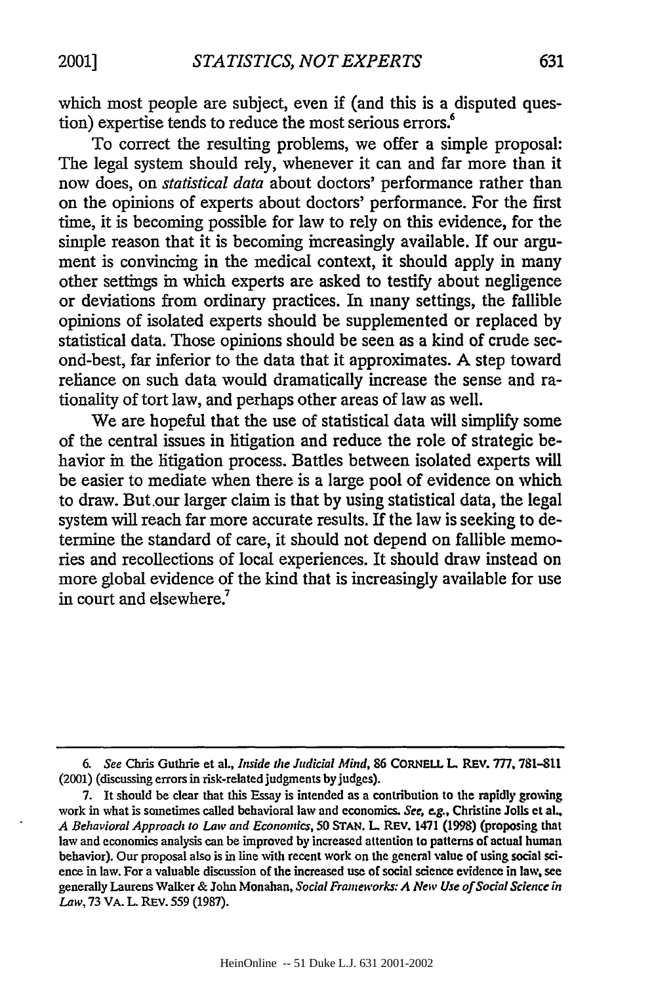which most people are subject, even if (and this is a disputed question) expertise tends to reduce the most serious errors.<sup>6</sup>

To correct the resulting problems, we offer a simple proposal: The legal system should rely, whenever it can and far more than it now does, on *statistical data* about doctors' performance rather than on the opinions of experts about doctors' performance. For the first time, it is becoming possible for law to rely on this evidence, for the simple reason that it is becoming increasingly available. If our argument is convincing in the medical context, it should apply in many other settings in which experts are asked to testify about negligence or deviations from ordinary practices. In many settings, the fallible opinions of isolated experts should be supplemented or replaced by statistical data. Those opinions should be seen as a kind of crude second-best, far inferior to the data that it approximates. A step toward reliance on such data would dramatically increase the sense and rationality of tort law, and perhaps other areas of law as well.

We are hopeful that the use of statistical data will simplify some of the central issues in litigation and reduce the role of strategic behavior in the litigation process. Battles between isolated experts will be easier to mediate when there is a large pool of evidence on which to draw. But .our larger claim is that by using statistical data, the legal system will reach far more accurate results. If the law is seeking to determine the standard of care, it should not depend on fallible memories and recollections of local experiences. It should draw instead on more global evidence of the kind that is increasingly available for use in court and elsewhere.<sup>7</sup>

*<sup>6.</sup> See* Chris Guthrie et al., *Inside the Judicial Mind, 86* CORNELL L REV. 777,781-811 (2001) (discussing errors in risk-related judgments **by** judges).

<sup>7.</sup> It should be clear that this Essay is intended as a contribution to the rapidly growing work in what is sometimes called behavioral law and economics. *See, e.g.,* Christine Jols **et** al, *A Behavioral Approach to Law and Economics, 50* **STAN.** L REV. 1471 (1998) (proposing that law and economics analysis can be improved **by** increased attention to patterns of actual human behavior). Our proposal also is in line with recent work on the general value of using social science in law. For a valuable discussion of the increased use of social science evidence in law, **see** generally Laurens Walker & John Monahan, *Social Frameworks: A Ness, Use of Social Science in Law,* 73 VA. L. REV. 559 (1987).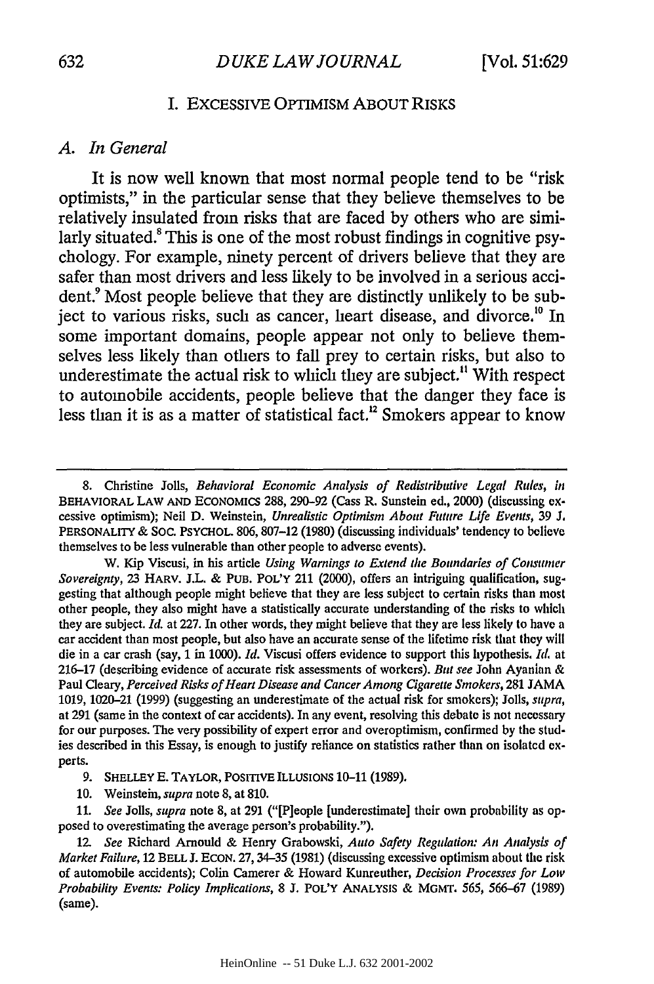#### I. EXCESSIVE OPTIMISM ABOUT RISKS

#### *A. In General*

It is now well known that most normal people tend to be "risk optimists," in the particular sense that they believe themselves to be relatively insulated from risks that are faced **by** others who are similarly situated.<sup>8</sup> This is one of the most robust findings in cognitive psychology. For example, ninety percent of drivers believe that they are safer than most drivers and less likely to be involved in a serious accident.<sup>9</sup> Most people believe that they are distinctly unlikely to be subject to various risks, such as cancer, heart disease, and divorce.<sup>10</sup> In some important domains, people appear not only to believe themselves less likely than others to fall prey to certain risks, but also to underestimate the actual risk to which they are subject.<sup>"</sup> With respect to automobile accidents, people believe that the danger they face is less than it is as a matter of statistical fact.<sup>12</sup> Smokers appear to know

W. Kip Viscusi, in his article Using Warnings to Extend the Boundaries of *Consumer* Sovereignty, **23** HARV. **J.L. & PUB. POL'Y 211** (2000), offers an intriguing qualification, suggesting that although people might believe that they are less subject to certain risks than most other people, they also might have a statistically accurate understanding of the risks to which they are subject. Id. at 227. In other words, they might believe that they are less likely to have a car accident than most people, but also have an accurate sense of the lifetime risk that they will die in a car crash (say, **1** in 1000). Id. Viscusi offers evidence to support this hypothesis. *Id.* at 216-17 (describing evidence of accurate risk assessments of workers). **But** see John Ayanian **&** Paul Cleary, Perceived Risks of Heart Disease and Cancer Among Cigarette Smokers, 281 **JAMA 1019,** 1020-21 (1999) (suggesting an underestimate of the actual risk for smokers); Jolls, supra, at **291** (same in the context of car accidents). In any event, resolving this debate is not necessary for our purposes. The very possibility of expert error and overoptimism, confirmed by the studies described in this Essay, is enough to justify reliance on statistics rather than on isolated experts.

**9. SHELLEY** E. TAYLOR, POSrIVE ILLUSIONS **10-11** (1989).

**10.** Weinstein, supra note 8, at 810.

**11.** See Jolls, supra note 8, at **291** ("[P]eople [underestimate] their own probability as opposed to overestimating the average person's probability.").

12. See Richard Arnould & Henry Grabowski, Auto Safety Regulation: An Analysis of Market Failure, 12 BELL J. ECON. 27, 34-35 (1981) (discussing excessive optimism about the risk of automobile accidents); Colin Camerer & Howard Kunreuther, Decision Processes for Low Probability Events: Policy Implications, 8 J. POL'Y ANALYSIS & MGMT. 565, 566-67 (1989) (same).

<sup>8.</sup> Christine Jolls, Behavioral Economic Analysis of Redistributive Legal Rules, in BEHAVIORAL LAW **AND** ECONOMICS 288, 290-92 (Cass R. Sunstein ed., 2000) (discussing excessive optimism); Neil D. Weinstein, Unrealistic Optimism About Future Life Events, 39 **J.** PERSONALITY **&** SOC. PSYCHOL. 806,807-12 (1980) (discussing individuals' tendency to believe themselves to be less vulnerable than other people to adverse events).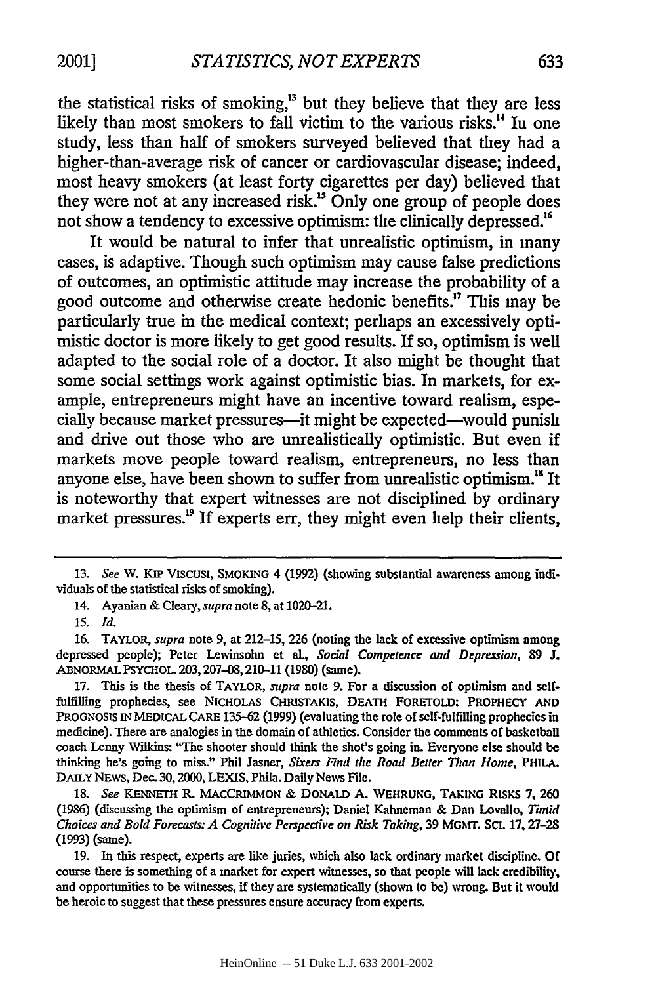the statistical risks of smoking, $13$  but they believe that they are less likely than most smokers to fall victim to the various risks.<sup>14</sup> Iu one study, less than half of smokers surveyed believed that they had a higher-than-average risk of cancer or cardiovascular disease; indeed, most heavy smokers (at least forty cigarettes per day) believed that they were not at any increased risk.<sup>15</sup> Only one group of people does not show a tendency to excessive optimism: the clinically depressed.<sup>16</sup>

It would be natural to infer that unrealistic optimism, in many cases, is adaptive. Though such optimism may cause false predictions of outcomes, an optimistic attitude may increase the probability of a good outcome and otherwise create hedonic benefits." This may be particularly true in the medical context; perhaps an excessively optimistic doctor is more likely to get good results. **If** so, optimism is well adapted to the social role of a doctor. It also might be thought that some social settings work against optimistic bias. In markets, for example, entrepreneurs might have an incentive toward realism, especially because market pressures—it might be expected—would punisli and drive out those who are unrealistically optimistic. But even if markets move people toward realism, entrepreneurs, no less than anyone else, have been shown to suffer from unrealistic optimism." It is noteworthy that expert witnesses are not disciplined by ordinary market pressures.<sup>19</sup> If experts err, they might even help their clients,

19. In this respect, experts are like juries, which also lack ordinary market discipline. Of course there is something of a market for expert witnesses, so that people will lack credibility, and opportunities to be witnesses, if they are systematically (shown to be) wrong. But it would be heroic to suggest that these pressures ensure accuracy from experts.

<sup>13.</sup> *See* W. KIP ViSCuSi, SMOKING 4 (1992) (showing substantial awareness among individuals of the statistical risks of smoking).

<sup>14.</sup> Ayanian **&** Cleary, *supra* note **8,** at 1020-21.

**<sup>15.</sup>** *Id.*

**<sup>16.</sup>** TAYLOR, *supra* note **9,** at **212-15, 226** (noting the lack of excessive optimism among depressed people); Peter Lewinsohn et al., *Social Competence and Depression,* **89** *J.* ABNORMAL PSYCHOL. **203,207-08,210-11 (1980)** (same).

**<sup>17.</sup>** This is the thesis of TAYLOR, *supra* note **9.** For a discussion of optimism and **self**fulfilling prophecies, see NICHOLAS CHRISTAKIS, DEATH FORETOLD: PROPHECY **AND PROGNOSIS** IN MEDICAL CARE **135-62** (1999) (evaluating the role of self-fulfilling prophecies in medicine). There are analogies in the domain of athletics. Consider the comments of basketball coach Lenny Wilkins: "The shooter should think the shot's going in. Everyone else should be thinking he's going to miss." Phil Jasner, *Sixers Find the Road Better Than Home*, PHILA. DAILY NEws, Dec. **30,2000, LEXIS,** Phila. Daily News File.

*<sup>1&</sup>amp; See* **KENNETH** R\_ **MACCRIMMON & DONALD A. WEHRUNG, TAKING RIsKs 7, 260** (1986) (discussing the optimism of entrepreneurs); Daniel Kahneman & Dan Lovallo, *Timid Choices and Bold Forecasts: A Cognitive Perspective on Risk Taking, 39 MGMT. SCI. 17, 27-28* (1993) (same).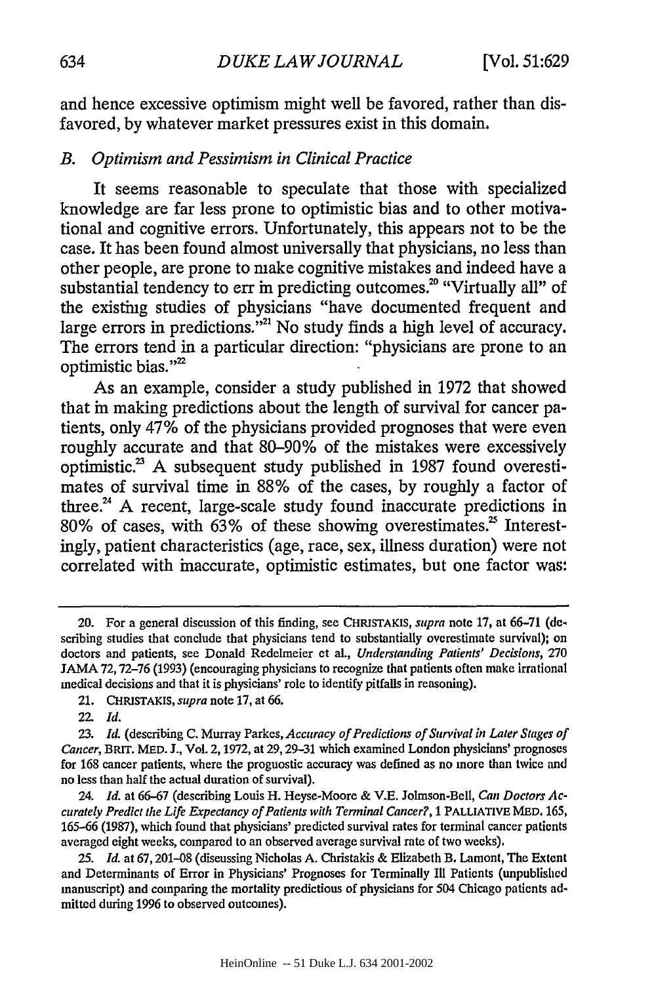and hence excessive optimism might well be favored, rather than disfavored, by whatever market pressures exist in this domain.

## *B. Optimism and Pessimism in Clinical Practice*

It seems reasonable to speculate that those with specialized knowledge are far less prone to optimistic bias and to other motivational and cognitive errors. Unfortunately, this appears not to be the case. It has been found almost universally that physicians, no less than other people, are prone to make cognitive mistakes and indeed have a substantial tendency to err in predicting outcomes.<sup>20</sup> "Virtually all" of the existing studies of physicians "have documented frequent and large errors in predictions."<sup>21</sup> No study finds a high level of accuracy. The errors tend in a particular direction: "physicians are prone to an optimistic bias."<sup>22</sup>

As an example, consider a study published in 1972 that showed that in making predictions about the length of survival for cancer patients, only 47% of the physicians provided prognoses that were even roughly accurate and that 80-90% of the mistakes were excessively optimistic.2 A subsequent study published in 1987 found overestimates of survival time in 88% of the cases, by roughly a factor of three.<sup>24</sup> A recent, large-scale study found inaccurate predictions in 80% of cases, with 63% of these showing overestimates." Interestingly, patient characteristics (age, race, sex, illness duration) were not correlated with inaccurate, optimistic estimates, but one factor was:

<sup>20.</sup> For a general discussion of this finding, see CHRISTAKIS, *supra* note 17, at 66-71 (describing studies that conclude that physicians tend to substantially overestimate survival); on doctors and patients, see Donald Redelmeier et al., *Understanding Patients' Decisions,* 270 JAMA 72,72-76 (1993) (encouraging physicians to recognize that patients often make irrational medical decisions and that it is physicians' role to identify pitfalls in reasoning).

<sup>21.</sup> CHRISTAKIS, *supra* note 17, at 66.

<sup>22.</sup> *Id.*

<sup>23.</sup> *Id.* (describing C. Murray Parkes, *Accuracy of Predictions of Survival in Later Stages of Cancer,* **BRIT. MED.** J., Vol. 2, 1972, at 29,29-31 which examined London physicians' prognoses for 168 cancer patients, where the prognostic accuracy was defined as no more than twice and no less than half the actual duration of survival).

<sup>24.</sup> *Id.* at 66-67 (describing Louis H. Heyse-Moore & V.E. Johnson-Bell, *Can Doctors Accurately Predict the Life Expectancy of Patients with Terminal Cancer?,* 1 PALLIATIVE MED. 165, 165-66 (1987), which found that physicians' predicted survival rates for terminal cancer patients averaged eight weeks, compared to an observed average survival rate of two weeks).

*<sup>25.</sup> Id.* at 67,201-08 (discussing Nicholas A. Christakis & Elizabeth B. Lamont, The Extent and Determinants of Error in Physicians' Prognoses for Terminally Ill Patients (unpublished manuscript) and comparing the mortality predictions of physicians for 504 Chicago patients admitted during 1996 to observed outcomes).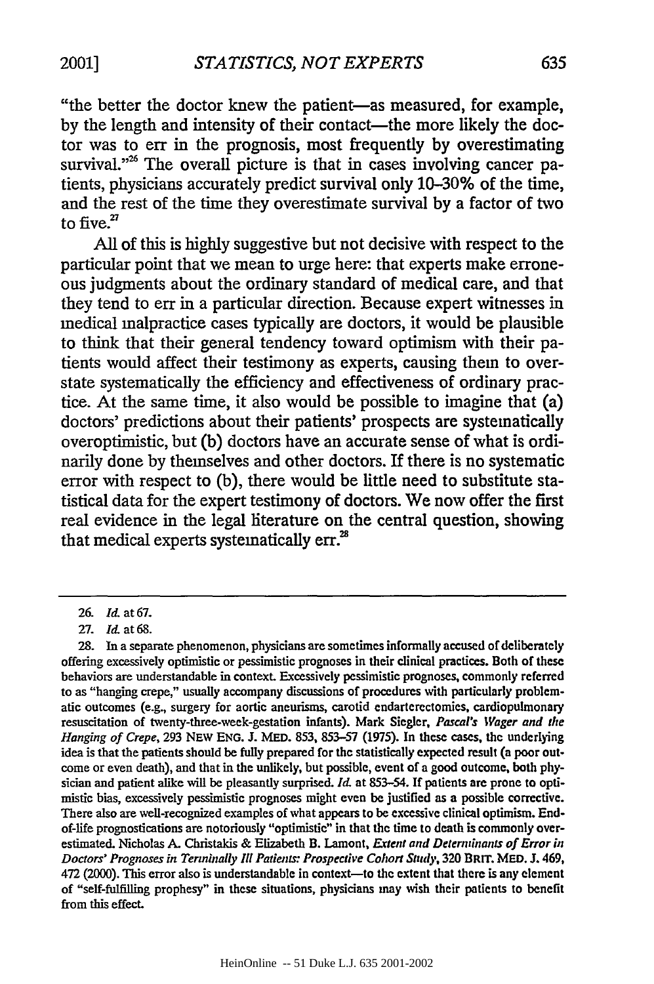"the better the doctor knew the patient-as measured, for example, by the length and intensity of their contact—the more likely the doctor was to err in the prognosis, most frequently **by** overestimating survival."<sup>26</sup> The overall picture is that in cases involving cancer patients, physicians accurately predict survival only **10-30%** of the time, and the rest of the time they overestimate survival **by** a factor of two to five. $27$ 

**All** of this is **highly** suggestive but not decisive with respect to the particular point that we mean to urge here: that experts make erroneous judgments about the ordinary standard of medical care, and that they tend to err in a particular direction. Because expert witnesses in medical malpractice cases typically are doctors, it would be plausible to think that their general tendency toward optimism with their patients would affect their testimony as experts, causing them to overstate systematically the efficiency and effectiveness of ordinary practice. At the same time, it also would be possible to imagine that (a) doctors' predictions about their patients' prospects are systematically overoptimistic, but **(b)** doctors have an accurate sense of what is ordinarily done **by** themselves and other doctors. If there is no systematic error with respect to **(b),** there would be little need to substitute statistical data for the expert testimony of doctors. We now offer the first real evidence in the legal literature on the central question, showing that medical experts systematically  $err<sup>28</sup>$ .

28. In a separate phenomenon, physicians are sometimes informally accused of deliberately offering excessively optimistic or pessimistic prognoses in their clinical practices. Both of these behaviors are understandable in context. Excessively pessimistic prognoses, commonly referred to as "hanging crepe," usually accompany discussions of procedures with particularly problematic outcomes (e.g., surgery for aortic aneurisms, carotid cndarterectomies, cardiopulmonary resuscitation of twenty-three-week-gestation infants). Mark Siegler, *Pascal's Wager and the Hanging of Crepe,* 293 NEW ENG. 3. MED. 853, 853-57 (1975). In these cases, the underlying idea is that the patients should be fully prepared for the statistically expected result (a poor outcome or even death), and that in the unlikely, but possible, event of a good outcome, both physician and patient alike will be pleasantly surprised. *Id.* at 853-54. If patients are prone to optimistic bias, excessively pessimistic prognoses might even be justified as a possible corrective. There also are well-recognized examples of what appears to be excessive clinical optimism. Endof-life prognostications are notoriously "optimistic" in that the time to death is commonly overestimated. Nicholas A. Christakis & Elizabeth B. Lamont, *Ertent and Determinants of Error in Doctors' Prognoses in Terminally III Patients:* Prospective Cohort Study, **320** BRIT. MED. **.** 469, 472 (2000). This error also is understandable in context-to the extent that there is any element of "self-fulfilling prophesy" in these situations, physicians may wish their patients to benefit from this effect.

<sup>26.</sup> *Id.* at 67.

<sup>27.</sup> *ld.* at **68.**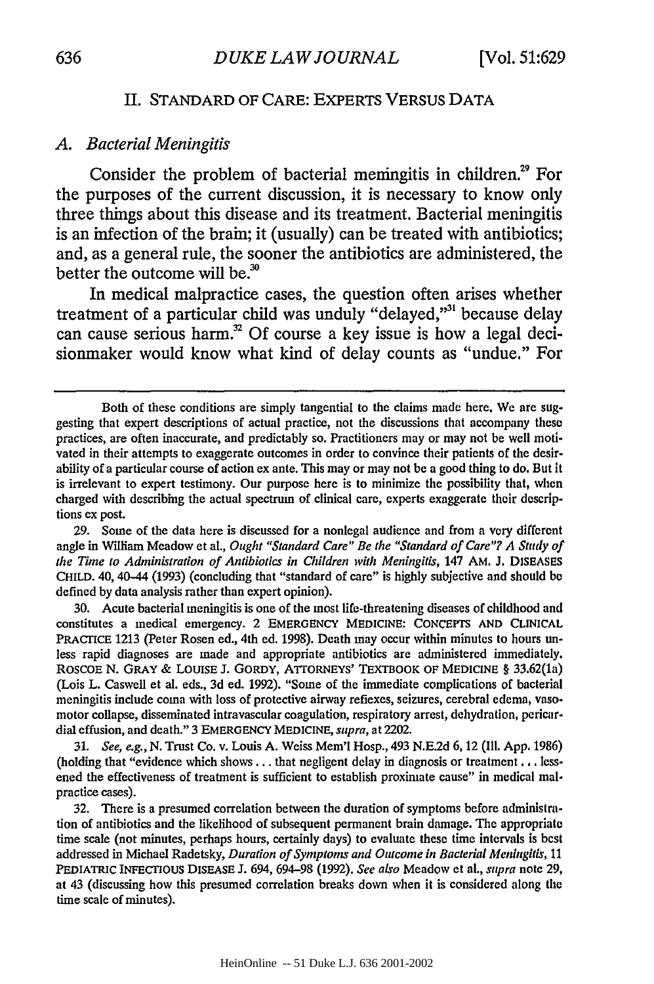#### II. STANDARD OF CARE: EXPERTS VERSUS DATA

#### *A. Bacterial Meningitis*

Consider the problem of bacterial memingitis in children.<sup>29</sup> For the purposes of the current discussion, it is necessary to know only three things about this disease and its treatment. Bacterial meningitis is an infection of the brain; it (usually) can be treated with antibiotics; and, as a general rule, the sooner the antibiotics are administered, the better the outcome will be.<sup>30</sup>

In medical malpractice cases, the question often arises whether treatment of a particular child was unduly "delayed,"<sup>31</sup> because delay can cause serious harm.<sup>32</sup> Of course a key issue is how a legal decisionmaker would know what kind of delay counts as "undue." For

29. Some of the data here is discussed for a nonlegal audience and from a very different angle in William Meadow et al., Ought *"Standard Care" Be the "Standard of Care"? A Study of the Time to Administration of Antibiotics in Children with Meningitis, 147 AM. J. DISEASES* CHILD. 40, 40-44 (1993) (concluding that "standard of care" is highly subjective and should be defined by data analysis rather than expert opinion).

30. Acute bacterial meningitis is one of the most life-threatening diseases of childhood and constitutes a medical emergency. 2 EMERGENCY MEDICINE: CONCEPTS **AND** CLINICAL PRACTICE 1213 (Peter Rosen ed., 4th ed. 1998). Death may occur within minutes to hours unless rapid diagnoses are made and appropriate antibiotics are administered immediately. ROSCOE N. GRAY & LOUISE **J.** GORDY, ATTORNEYS' TExTBOOK OF **MEDICINE** § 33.62(la) (Lois L. Caswell et al. eds., 3d ed. 1992). "Some of the immediate complications of bacterial meningitis include coma with loss of protective airway reflexes, seizures, cerebral edema, vasomotor collapse, disseminated intravascular coagulation, respiratory arrest, dehydration, pericardial effusion, and death." 3 EMERGENCY MEDICINE, *supra,* at 2202.

31. *See, e.g.,* N. Trust Co. v. Louis A. Weiss Mem'l Hosp., 493 N.E.2d 6,12 **(I11.** App. 1986) (holding that "evidence which shows **...** that negligent delay in diagnosis or treatment... lessened the effectiveness of treatment is sufficient to establish proximate cause" in medical malpractice cases).

32. There is a presumed correlation between the duration of symptoms before administration of antibiotics and the likelihood of subsequent permanent brain damage. The appropriate time scale (not minutes, perhaps hours, certainly days) to evaluate these time intervals is best addressed in Michael Radetsky, *Duration of Symptoms and Outcome in Bacterial Meningitis,* 11 PEDIATRIC INFECTIOUS DISEASE J. 694, 694-98 (1992). *See also* Meadow et al., *supra* note 29, at 43 (discussing how this presumed correlation breaks down when it is considered along the time scale of minutes).

Both of these conditions are simply tangential to the claims made here. We are suggesting that expert descriptions of actual practice, not the discussions that accompany these practices, are often inaccurate, and predictably so. Practitioners may or may not be well motivated in their attempts to exaggerate outcomes in order to convince their patients of the desirability of a particular course of action ex ante. This may or may not be a good thing to do. But it is irrelevant to expert testimony. Our purpose here is to minimize the possibility that, when charged with describing the actual spectrum of clinical care, experts exaggerate their descriptions ex post.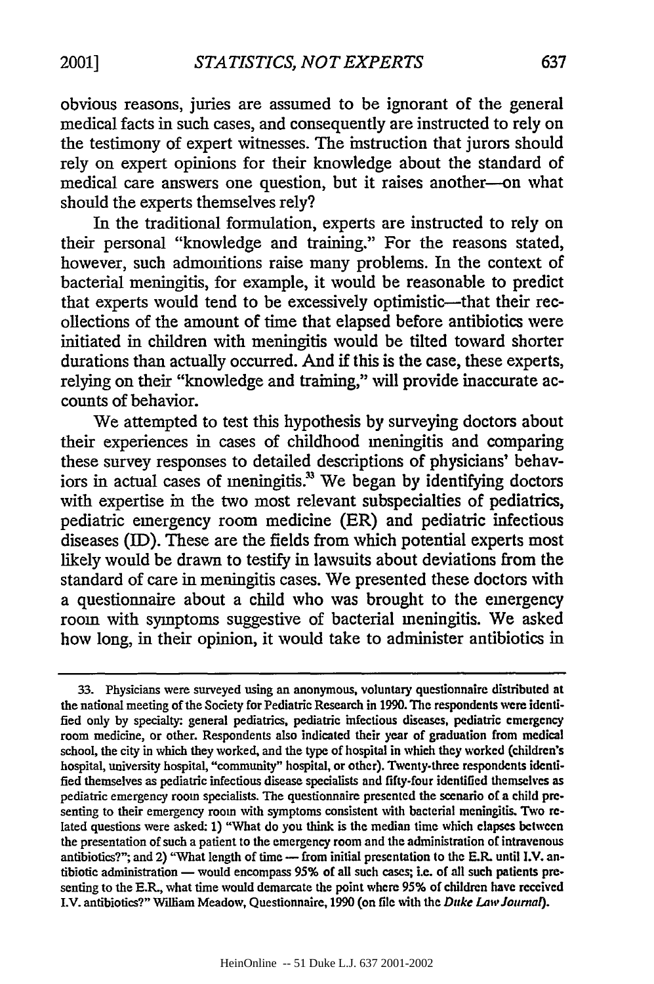obvious reasons, juries are assumed to be ignorant of the general medical facts in such cases, and consequently are instructed to rely on the testimony of expert witnesses. The instruction that jurors should rely on expert opinions for their knowledge about the standard of medical care answers one question, but it raises another-on what should the experts themselves rely?

In the traditional formulation, experts are instructed to rely on their personal "knowledge and training." For the reasons stated, however, such admonitions raise many problems. In the context of bacterial meningitis, for example, it would be reasonable to predict that experts would tend to be excessively optimistic-that their recollections of the amount of time that elapsed before antibiotics were initiated in children with meningitis would be tilted toward shorter durations than actually occurred. And if this is the case, these experts, relying on their "knowledge and training," will provide inaccurate accounts of behavior.

We attempted to test this hypothesis by surveying doctors about their experiences in cases of childhood meningitis and comparing these survey responses to detailed descriptions of physicians' behaviors in actual cases of meningitis.<sup>33</sup> We began by identifying doctors with expertise in the two most relevant subspecialties of pediatrics, pediatric emergency room medicine (ER) and pediatric infectious diseases (ID). These are the fields from which potential experts most likely would be drawn to testify in lawsuits about deviations from the standard of care in meningitis cases. We presented these doctors with a questionnaire about a child who was brought to the emergency room with symptoms suggestive of bacterial meningitis. We asked how long, in their opinion, it would take to administer antibiotics in

**33.** Physicians were surveyed using an anonymous, voluntary questionnaire distributed at the national meeting of the Society for Pediatric Research in 1990. The respondents were identified only **by** specialty: general pediatrics, pediatric infectious diseases, pediatric emergency room medicine, or other. Respondents also indicated their year of graduation from medical school, the city in which they worked, and the type of hospital in which they worked (children's hospital, university hospital, "community" hospital, or other). Twenty-three respondents identified themselves as pediatric infectious disease specialists and fifty-four identified themselves as pediatric emergency room specialists. The questionnaire presented the scenario of a child presenting to their emergency room with symptoms consistent with bacterial meningitis. Two related questions were asked: 1) "What do you think is the median time which elapses between the presentation of such a patient to the emergency room and the administration of intravenous antibiotics?"; and 2) "What length of time **-** from initial presentation to the ER. until I.V. antibiotic administration - would encompass 95% of all such cases; i.e. of all such patients presenting to the E.R., what time would demarcate the point where 95% of children have received IV. antibiotics?" William Meadow, Questionnaire, 1990 (on file with the **Duke** Law Journal).

2001]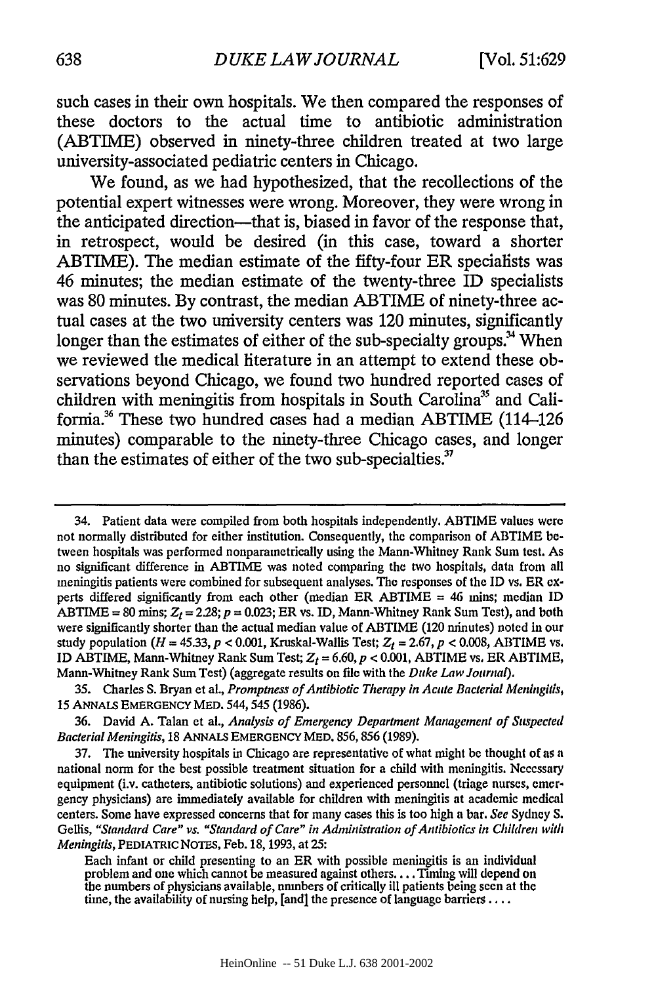such cases in their own hospitals. We then compared the responses of these doctors to the actual time to antibiotic administration (ABTIME) observed in ninety-three children treated at two large university-associated pediatric centers in Chicago.

We found, as we had hypothesized, that the recollections of the potential expert witnesses were wrong. Moreover, they were wrong in the anticipated direction—that is, biased in favor of the response that, in retrospect, would be desired (in this case, toward a shorter ABTIME). The median estimate of the fifty-four ER specialists was 46 minutes; the median estimate of the twenty-three ID specialists was **80** minutes. **By** contrast, the median **ABTIME** of ninety-three actual cases at the two university centers was 120 minutes, significantly longer than the estimates of either of the sub-specialty groups.<sup>34</sup> When we reviewed the medical literature in an attempt to extend these observations beyond Chicago, we found two hundred reported cases of children with meningitis from hospitals in South Carolina" and California. 6 These two hundred cases had a median **ABTIME** (114-126 minutes) comparable to the ninety-three Chicago cases, and longer than the estimates of either of the two sub-specialties. $37$ 

<sup>34.</sup> Patient data were compiled from both hospitals independently. ABTIME values were not normally distributed for either institution. Consequently, the comparison of ABTIME **be**tween hospitals was performed nonparametrically using the Mann-Whitney Rank Sum test. As no significant difference in ABTIME was noted comparing the two hospitals, data from all meningitis patients were combined for subsequent analyses. The responses of the ID vs. ER **ex**perts differed significantly from each other (median ER ABTIME  $=$  46 mins; median ID ABTIME = 80 mins;  $Z_t$  = 2.28;  $p$  = 0.023; ER vs. ID, Mann-Whitney Rank Sum Test), and both were significantly shorter than the actual median value of ABTIME (120 minutes) noted in our study population  $(H = 45.33, p < 0.001,$  Kruskal-Wallis Test;  $Z_t = 2.67, p < 0.008,$  ABTIME vs. ID ABTIME, Mann-Whitney Rank Sum Test; *Zt =* 6.60, *p* < 0.001, ABTIME *vs,* ER ABTIME, Mann-Whitney Rank Sum Test) (aggregate results on file with the *Duke Law Journal).*

<sup>35.</sup> Charles S. Bryan et al., *Promptness of Antibiotic Therapy in Acute Bacterial Meningitis,* 15 ANNALS EMERGENCY MED. 544,545 (1986).

<sup>36.</sup> David A. Talan et al., *Analysis of Emergency Department Management of Suspected Bacterial Meningitis,* 18 ANNALS EMERGENCY MED. 856,856 (1989).

<sup>37.</sup> The university hospitals in Chicago are representative of what might be thought of as a national norm for the best possible treatment situation for a child with meningitis. Necessary equipment (i.v. catheters, antibiotic solutions) and experienced personnel (triage nurses, emergency physicians) are immediately available for children with meningitis at academic medical centers. Some have expressed concerns that for many cases this is too high a bar. *See* Sydney S. Gellis, *"Standard Care" vs. "Standard of Care" in Administration of Antibiotics in Children with Meningitis,* PEDIATRIC NoTES, Feb. 18,1993, at 25:

Each infant or child presenting to an ER with possible meningitis is an individual problem and one which cannot be measured against others .... Timing will depend on the numbers of physicians available, numbers of critically ill patients being seen at the time, the availability of nursing help, [and] the presence of language barriers ....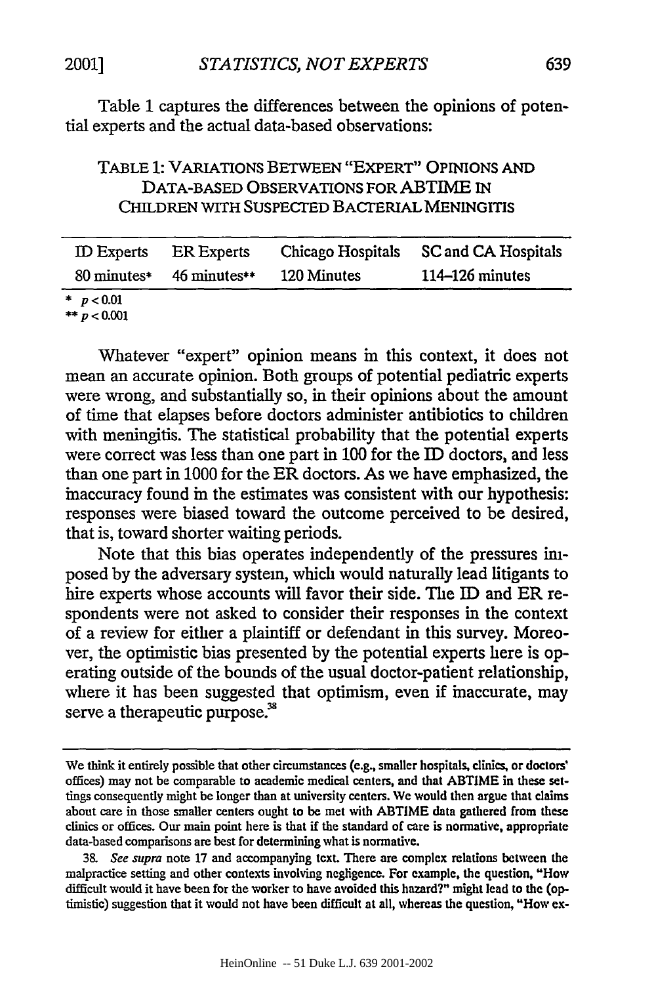Table **1** captures the differences between the opinions of potential experts and the actual data-based observations:

## TABLE **1:** VARIATIONS BETWEEN "EXPERT" OPINIONS AND DATA-BASED OBSERVATIONS FOR ABTIME IN CHILDREN WITH SUSPECTED BACTERIAL MENINGITIS

| <b>ID</b> Experts              | <b>ER Experts</b> | Chicago Hospitals | SC and CA Hospitals |
|--------------------------------|-------------------|-------------------|---------------------|
| 80 minutes*                    | 46 minutes**      | 120 Minutes       | $114 - 126$ minutes |
| * $p < 0.01$<br>** $p < 0.001$ |                   |                   |                     |

Whatever "expert" opinion means in this context, it does not mean an accurate opinion. Both groups of potential pediatric experts were wrong, and substantially so, in their opinions about the amount of time that elapses before doctors administer antibiotics to children with meningitis. The statistical probability that the potential experts were correct was less than one part in 100 for the ID doctors, and less than one part in 1000 for the ER doctors. As we have emphasized, the inaccuracy found in the estimates was consistent with our hypothesis: responses were biased toward the outcome perceived to be desired, that is, toward shorter waiting periods.

Note that this bias operates independently of the pressures imposed by the adversary system, which would naturally lead litigants to hire experts whose accounts will favor their side. The ID and ER respondents were not asked to consider their responses in the context of a review for either a plaintiff or defendant in this survey. Moreover, the optimistic bias presented by the potential experts here is operating outside of the bounds of the usual doctor-patient relationship, where it has been suggested that optimism, even if inaccurate, may serve a therapeutic purpose.<sup>38</sup>

2001]

We think it entirely possible that other circumstances (e.g., smaller hospitals, clinics, or doctors' offices) may not be comparable to academic medical centers, and that ABTIME in these settings consequently might be longer than at university centers. We would then argue that claims about care in those smaller centers ought to be met with ABTIME data gathered from these clinics or offices. Our main point here is that if the standard of care is normative, appropriate data-based comparisons are best for determining what is normative.

*<sup>38.</sup> See supra* note **17** and accompanying text. There are complex relations between the malpractice setting and other contexts involving negligence. For example, the question, "How difficult would it have been for the worker to have avoided this hazard?" might lead to the (optimistic) suggestion that it would not have been difficult at all, whereas the question, "How **ex-**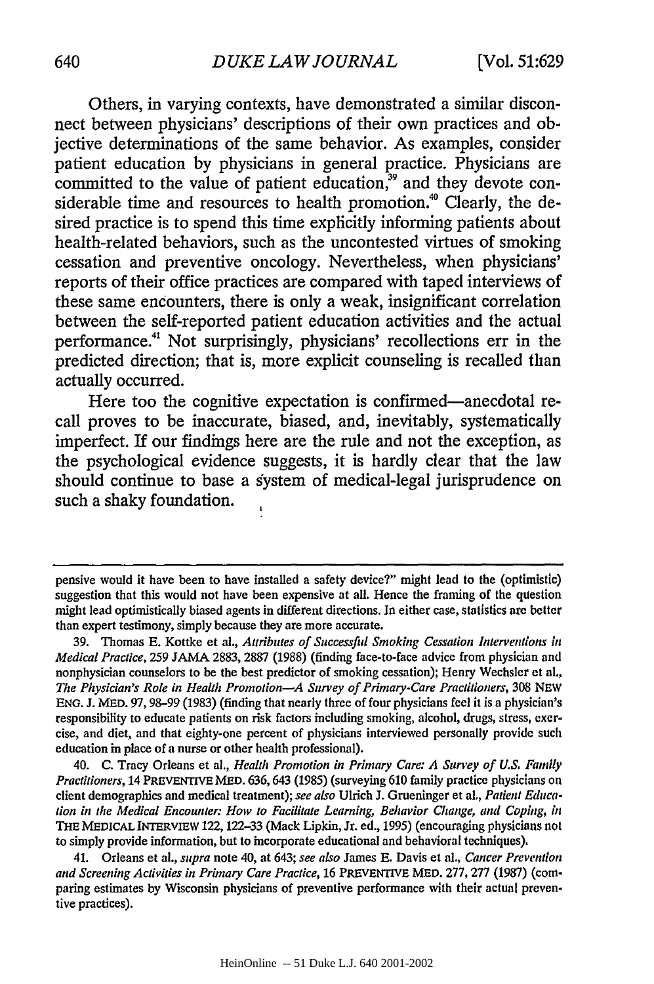Others, in varying contexts, have demonstrated a similar disconnect between physicians' descriptions of their own practices and objective determinations of the same behavior. As examples, consider patient education by physicians in general practice. Physicians are committed to the value of patient education, $39$  and they devote considerable time and resources to health promotion.<sup>40</sup> Clearly, the desired practice is to spend this time explicitly informing patients about health-related behaviors, such as the uncontested virtues of smoking cessation and preventive oncology. Nevertheless, when physicians' reports of their office practices are compared with taped interviews of these same encounters, there is only a weak, insignificant correlation between the self-reported patient education activities and the actual performance." Not surprisingly, physicians' recollections err in the predicted direction; that is, more explicit counseling is recalled than actually occurred.

Here too the cognitive expectation is confirmed—anecdotal recall proves to be inaccurate, biased, and, inevitably, systematically imperfect. If our findings here are the rule and not the exception, as the psychological evidence suggests, it is hardly clear that the law should continue to base a system of medical-legal jurisprudence on such a shaky foundation.

40. C. Tracy Orleans et al., *Health Promotion in Primary Care: A Survey of U.S. Family Practitioners,* 14 PREVENTIVE MED. 636,643 (1985) (surveying 610 family practice physicians on client demographics and medical treatment); *see also* Ulrich J. Grueninger et al., *Patient Education in the Medical Encounter: How to Facilitate Learning, Behavior Change, and Coping, in* THE MEDICAL INTERVIEW 122, 122-33 (Mack Lipkin, Jr. ed., 1995) (encouraging physicians not to simply provide information, but to incorporate educational and behavioral techniques).

41. Orleans et al., *supra* note 40, at 643; *see also* James E. Davis et al., Cancer *Prevention and Screening Activities in Primary Care Practice,* 16 PREVENTIVE MED. 277, 277 (1987) (conparing estimates by Wisconsin physicians of preventive performance with their actual preventive practices).

pensive would it have been to have installed a safety device?" might lead to the (optimistic) suggestion that this would not have been expensive at all. Hence the framing of the question might lead optimistically biased agents in different directions. In either case, statistics are better than expert testimony, simply because they are more accurate.

<sup>39.</sup> Thomas E. Kottke et al., *Attributes of Successful Smoking Cessation Interventions in Medical Practice,* 259 JAMA 2883, 2887 (1988) (finding face-to-face advice from physician and nouphysician counselors to be the best predictor of smoking cessation); Henry Wechsler ct al., *The Physician's Role in Health Promotion-A Survey of Primary-Care Practitioners,* 308 NEW ENG. J. MED. 97, 98-99 (1983) (finding that nearly three of four physicians feel it is a physician's responsibility to educate patients on risk factors including smoking, alcohol, drugs, stress, exercise, and diet, and that eighty-one percent of physicians interviewed personally provide such education in place of a nurse or other health professional).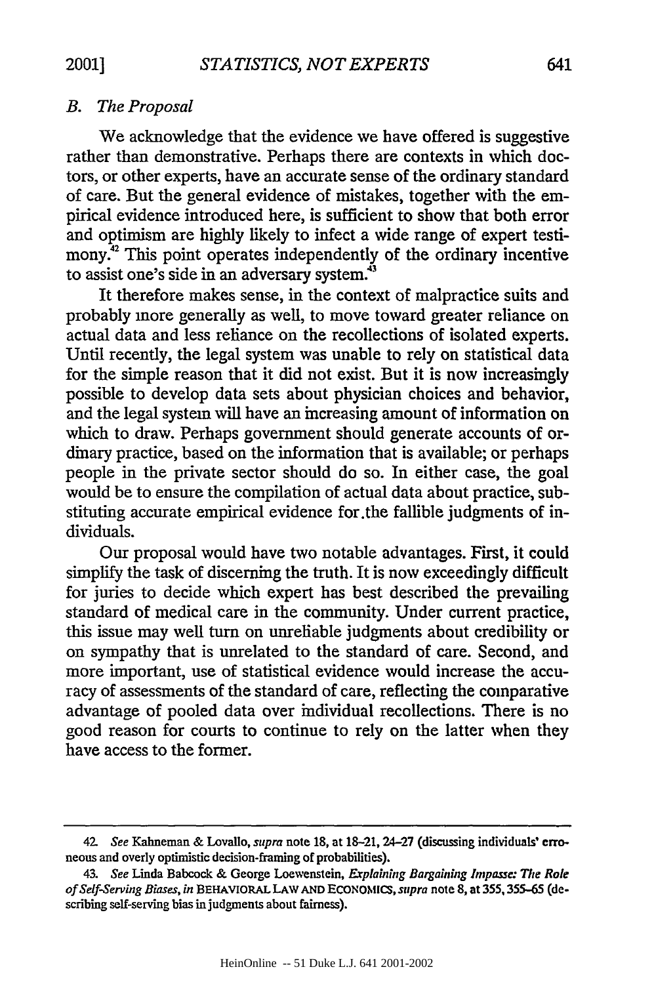#### *B. The Proposal*

We acknowledge that the evidence we have offered is suggestive rather than demonstrative. Perhaps there are contexts in which doctors, or other experts, have an accurate sense of the ordinary standard of care. But the general evidence of mistakes, together with the empirical evidence introduced here, is sufficient to show that both error and optimism are highly likely to infect a wide range of expert testimony.<sup>42</sup> This point operates independently of the ordinary incentive to assist one's side in an adversary system.<sup>43</sup>

It therefore makes sense, in the context of malpractice suits and probably more generally as well, to move toward greater reliance on actual data and less reliance on the recollections of isolated experts. Until recently, the legal system was unable to rely on statistical data for the simple reason that it did not exist. But it is now increasingly possible to develop data sets about physician choices and behavior, and the legal system will have an increasing amount of information on which to draw. Perhaps government should generate accounts of ordinary practice, based on the information that is available; or perhaps people in the private sector should do so. In either case, the goal would be to ensure the compilation of actual data about practice, substituting accurate empirical evidence for.the fallible judgments of individuals.

Our proposal would have two notable advantages. First, it could simplify the task of discerning the truth. It is now exceedingly difficult for juries to decide which expert has best described the prevailing standard of medical care in the community. Under current practice, this issue may well turn on unreliable judgments about credibility or on sympathy that is unrelated to the standard of care. Second, and more important, use of statistical evidence would increase the accuracy of assessments of the standard of care, reflecting the comparative advantage of pooled data over individual recollections. There is no good reason for courts to continue to rely on the latter when they have access to the former.

2001]

<sup>42.</sup> *See* Kabneman & Lovallo, **supra** note **18,** at **18-21,24-27** (discussing individuals' crroneous and overly optimistic decision-framing of probabilities).

<sup>43.</sup> *See* Linda Babcock & George Loewenstein, *Explaining Bargaining Impasse: The Role of Self-Serving Biases, in* BEHAVIORAL **LAW** AND **ECONOMICS,** *supra* note **8,** at 355,355-65 (describing self-serving bias in judgments about fairness).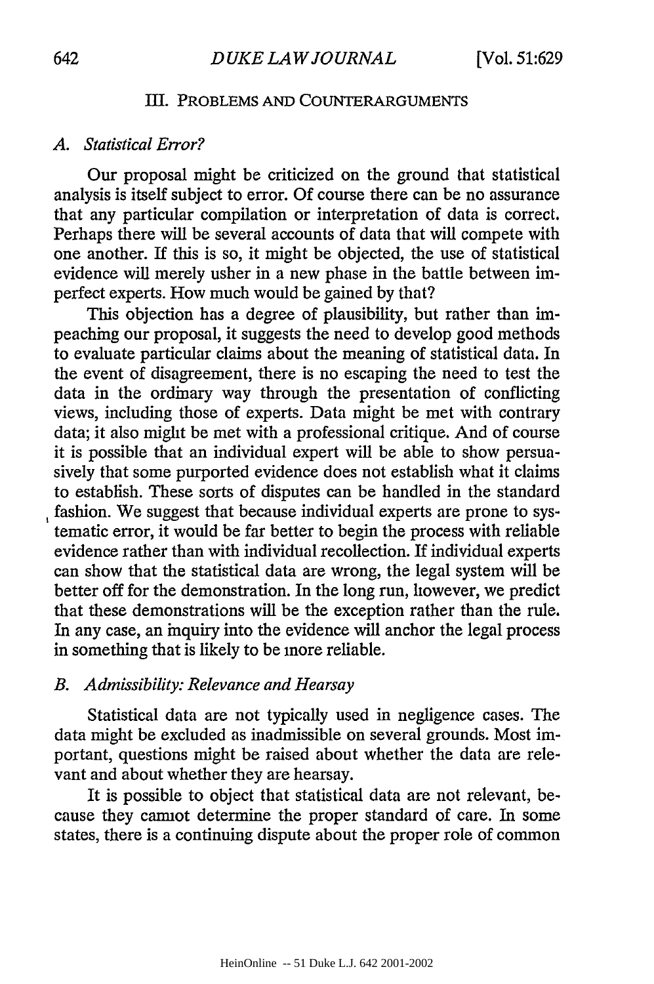#### III. PROBLEMS AND COUNTERARGUMENTS

#### *A. Statistical Error?*

Our proposal might be criticized on the ground that statistical analysis is itself subject to error. Of course there can be no assurance that any particular compilation or interpretation of data is correct. Perhaps there will be several accounts of data that will compete with one another. If this is so, it might be objected, the use of statistical evidence will merely usher in a new phase in the battle between imperfect experts. How much would be gained by that?

This objection has a degree of plausibility, but rather than impeaching our proposal, it suggests the need to develop good methods to evaluate particular claims about the meaning of statistical data. In the event of disagreement, there is no escaping the need to test the data in the ordinary way through the presentation of conflicting views, including those of experts. Data might be met with contrary data; it also might be met with a professional critique. And of course it is possible that an individual expert will be able to show persuasively that some purported evidence does not establish what it claims to establish. These sorts of disputes can be handled in the standard fashion. We suggest that because individual experts are prone to systematic error, it would be far better to begin the process with reliable evidence rather than with individual recollection. If individual experts can show that the statistical data are wrong, the legal system will be better off for the demonstration. In the long run, however, we predict that these demonstrations will be the exception rather than the rule. In any case, an inquiry into the evidence will anchor the legal process in something that is likely to be more reliable.

#### *B. Admissibility: Relevance and Hearsay*

Statistical data are not typically used in negligence cases. The data might be excluded as inadmissible on several grounds. Most important, questions might be raised about whether the data are relevant and about whether they are hearsay.

It is possible to object that statistical data are not relevant, because they cannot determine the proper standard of care. In some states, there is a continuing dispute about the proper role of common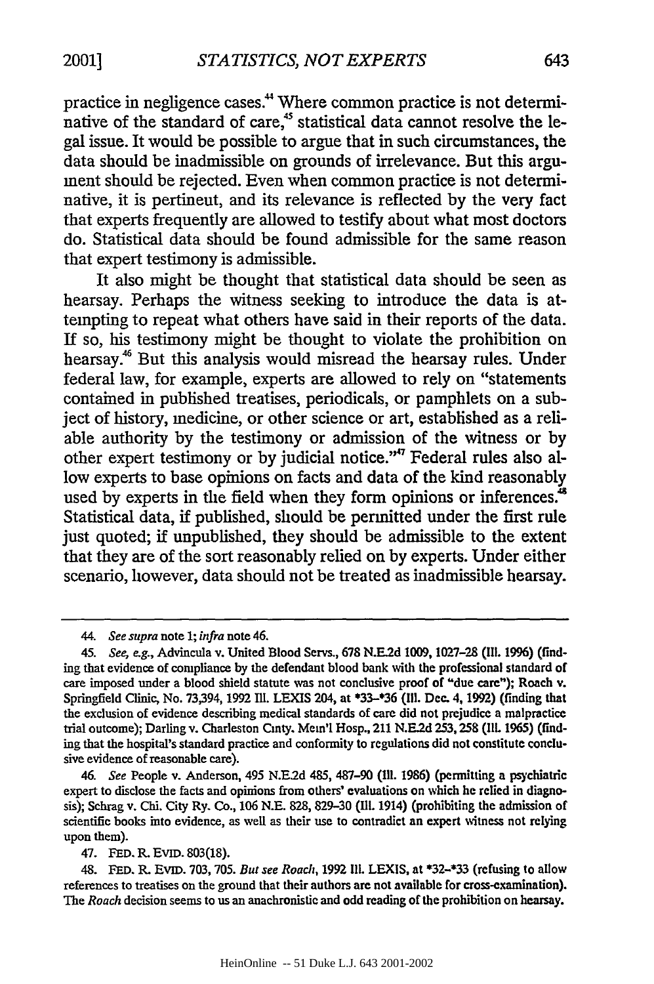practice in negligence cases.<sup>44</sup> Where common practice is not determinative of the standard of care,<sup>45</sup> statistical data cannot resolve the legal issue. It would be possible to argue that in such circumstances, the data should be inadmissible on grounds of irrelevance. But this argument should be rejected. Even when common practice is not determinative, it is pertinent, and its relevance is reflected by the very fact that experts frequently are allowed to testify about what most doctors do. Statistical data should be found admissible for the same reason that expert testimony is admissible.

It also might be thought that statistical data should be seen as hearsay. Perhaps the witness seeking to introduce the data is attempting to repeat what others have said in their reports of the data. If so, his testimony might be thought to violate the prohibition on hearsay." But this analysis would misread the hearsay rules. Under federal law, for example, experts are allowed to rely on "statements contained in published treatises, periodicals, or pamphlets on a subject of history, medicine, or other science or art, established as a reliable authority by the testimony or admission of the witness or by other expert testimony or by judicial notice."' Federal rules also allow experts to base opinions on facts and data of the kind reasonably used by experts in the field when they form opinions or inferences.<sup>48</sup> Statistical data, if published, should be permitted under the first rule just quoted; if unpublished, they should be admissible to the extent that they are of the sort reasonably relied on by experts. Under either scenario, however, data should not be treated as inadmissible hearsay.

*46. See* People v. Anderson, 495 N.E2d 485, 487-90 (IlL. **1986)** (permitting a psychiatric expert to disclose the facts and opinions from others' evaluations on which he relied in diagnosis); Schrag v. Chi. City Ry. Co., 106 N.E. 828, 829-30 (IlL 1914) (prohibiting the admission of scientific books into evidence, as well as their use to contradict an expert witness not relying upon them).

48. FED. R. EviD. 703,705. *But see Road,* 1992 Ill. LEXIS, at \*32-\*33 (refusing to allow references to treatises on the ground that their authors are not available for cross-examination). The *Roach* decision seems to us an anachronistic and odd reading of the prohibition on hearsay.

20011

*<sup>44.</sup> See supra* note 1; *infra* note 46.

<sup>45.</sup> *See, e.g.,* Advincula v. United Blood Servs., 678 N.E2d 1009,1027-28 **(i1.** 1996) (finding that evidence of compliance **by** the defendant blood bank with the professional standard of care imposed under a blood shield statute was not conclusive proof of "due care"); Roach v. Springfield Clinic, No. 73,394, 1992 III. LEXIS 204, at \*33-\*36 (IlL Dec. 4, 1992) (finding that the exclusion of evidence describing medical standards of care did not prejudice a malpractice trial outcome); Darling v. Charleston Cmty. Mem'l Hosp., 211 N.E-2d 253,258 (IlL 1965) (finding that the hospital's standard practice and conformity to regulations did not constitute conclusive evidence of reasonable care).

<sup>47.</sup> FED. R. Evm. 803(18).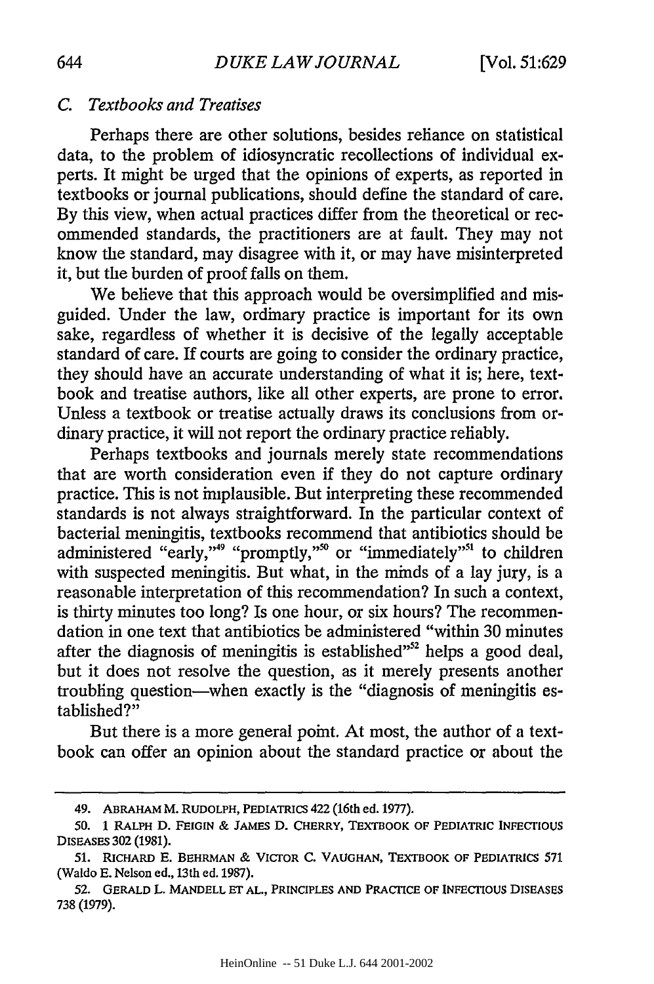### *C. Textbooks and Treatises*

Perhaps there are other solutions, besides reliance on statistical data, to the problem of idiosyncratic recollections of individual experts. It might be urged that the opinions of experts, as reported in textbooks or journal publications, should define the standard of care. By this view, when actual practices differ from the theoretical or recommended standards, the practitioners are at fault. They may not know the standard, may disagree with it, or may have misinterpreted it, but the burden of proof falls on them.

We believe that this approach would be oversimplified and misguided. Under the law, ordinary practice is important for its own sake, regardless of whether it is decisive of the legally acceptable standard of care. If courts are going to consider the ordinary practice, they should have an accurate understanding of what it is; here, textbook and treatise authors, like all other experts, are prone to error. Unless a textbook or treatise actually draws its conclusions from ordinary practice, it will not report the ordinary practice reliably.

Perhaps textbooks and journals merely state recommendations that are worth consideration even if they do not capture ordinary practice. This is not implausible. But interpreting these recommended standards is not always straightforward. In the particular context of bacterial meningitis, textbooks recommend that antibiotics should be administered "early,"<sup>49</sup> "promptly,"<sup>50</sup> or "immediately"<sup>51</sup> to children with suspected meningitis. But what, in the minds of a lay jury, is a reasonable interpretation of this recommendation? In such a context, is thirty minutes too long? Is one hour, or six hours? The recommendation in one text that antibiotics be administered "within 30 minutes after the diagnosis of meningitis is established $3<sup>52</sup>$  helps a good deal, but it does not resolve the question, as it merely presents another troubling question-when exactly is the "diagnosis of meningitis established?"

But there is a more general point. At most, the author of a textbook can offer an opinion about the standard practice or about the

**<sup>49.</sup>** ABRAHAM **M.** RUDOLPH, PEDIATRICS 422 (16th ed. 1977).

**<sup>50.</sup> 1 RALPH D. FEIGIN & JAMES D.** CHERRY, TEXTBOOK OF PEDIATRIC INFECTIOUS **DISEASES** 302 (1981).

**<sup>51.</sup>** RICHARD **E.** BEHRMAN **&** VICTOR **C. VAUGHAN,** TEXTBOOK **OF** PEDIATRICS 571 (Waldo **E.** Nelson ed., 13th ed. 1987).

**<sup>52.</sup>** GERALD L. **MANDELL ET AL.,** PRINCIPLES **AND** PRACTICE **OF INFECTIOUS DISEASES** 738 (1979).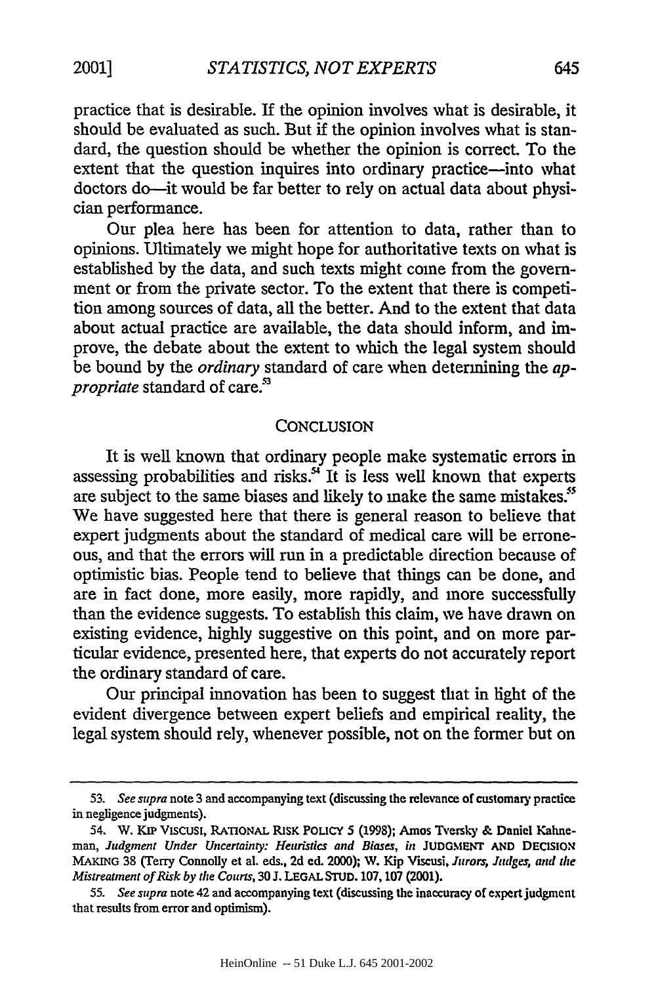practice that is desirable. If the opinion involves what is desirable, it should be evaluated as such. But if the opinion involves what is standard, the question should be whether the opinion is correct. To the extent that the question inquires into ordinary practice-into what doctors do—it would be far better to rely on actual data about physician performance.

Our plea here has been for attention to data, rather than to opinions. Ultimately we might hope for authoritative texts on what is established by the data, and such texts might come from the government or from the private sector. To the extent that there is competition among sources of data, all the better. And to the extent that data about actual practice are available, the data should inform, and improve, the debate about the extent to which the legal system should be bound by the *ordinary* standard of care when determining the *appropriate* standard of care.'

#### **CONCLUSION**

It is well known that ordinary people make systematic errors in assessing probabilities and risks.<sup>54</sup> It is less well known that experts are subject to the same biases and likely to make the same mistakes." We have suggested here that there is general reason to believe that expert judgments about the standard of medical care will be erroneous, and that the errors will run in a predictable direction because of optimistic bias. People tend to believe that things can be done, and are in fact done, more easily, more rapidly, and more successfully than the evidence suggests. To establish this claim, we have drawn on existing evidence, highly suggestive on this point, and on more particular evidence, presented here, that experts do not accurately report the ordinary standard of care.

Our principal innovation has been to suggest that in light of the evident divergence between expert beliefs and empirical reality, the legal system should rely, whenever possible, not on the former but on

<sup>53.</sup> *See supra* note 3 and accompanying text (discussing the relevance of customary practice in negligence judgments).

<sup>54.</sup> W. KiP Viscusi, RATIONAL RISK POLICY 5 **(1998);** Amos Tversky **&** Daniel Kahneman, *Judgment Under Uncertainty: Heuristics and Biases, in* JUDGMENT **AND** DECISION MAKING 38 (Terry Connolly et al. eds., 2d ed. 2000); W. Kip Viscusi, *Jurors, Judges, and the Mistreatment of Risk by the Courts,* 30 J. LEGAL **STUD.** 107,107 (2001).

<sup>55.</sup> *See supra* note 42 and accompanying text (discussing the inaccuracy of expert judgment that results from error and optimism).